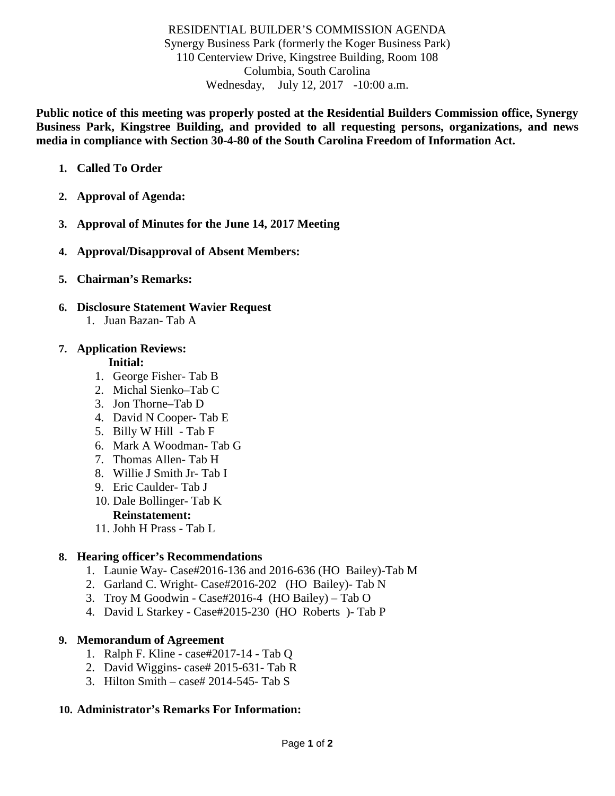## RESIDENTIAL BUILDER'S COMMISSION AGENDA Synergy Business Park (formerly the Koger Business Park) 110 Centerview Drive, Kingstree Building, Room 108 Columbia, South Carolina Wednesday, July 12, 2017 -10:00 a.m.

**Public notice of this meeting was properly posted at the Residential Builders Commission office, Synergy Business Park, Kingstree Building, and provided to all requesting persons, organizations, and news media in compliance with Section 30-4-80 of the South Carolina Freedom of Information Act.**

- **1. Called To Order**
- **2. Approval of Agenda:**
- **3. Approval of Minutes for the June 14, 2017 Meeting**
- **4. Approval/Disapproval of Absent Members:**
- **5. Chairman's Remarks:**
- **6. Disclosure Statement Wavier Request** 
	- 1. Juan Bazan- Tab A

## **7. Application Reviews:**

### **Initial:**

- 1. George Fisher- Tab B
- 2. Michal Sienko–Tab C
- 3. Jon Thorne–Tab D
- 4. David N Cooper- Tab E
- 5. Billy W Hill Tab F
- 6. Mark A Woodman- Tab G
- 7. Thomas Allen- Tab H
- 8. Willie J Smith Jr- Tab I
- 9. Eric Caulder- Tab J
- 10. Dale Bollinger- Tab K
	- **Reinstatement:**
- 11. Johh H Prass Tab L

## **8. Hearing officer's Recommendations**

- 1. Launie Way- Case#2016-136 and 2016-636 (HO Bailey)-Tab M
- 2. Garland C. Wright- Case#2016-202 (HO Bailey)- Tab N
- 3. Troy M Goodwin Case#2016-4 (HO Bailey) Tab O
- 4. David L Starkey Case#2015-230 (HO Roberts )- Tab P

### **9. Memorandum of Agreement**

- 1. Ralph F. Kline case#2017-14 Tab Q
- 2. David Wiggins- case# 2015-631- Tab R
- 3. Hilton Smith case# 2014-545- Tab S

### **10. Administrator's Remarks For Information:**